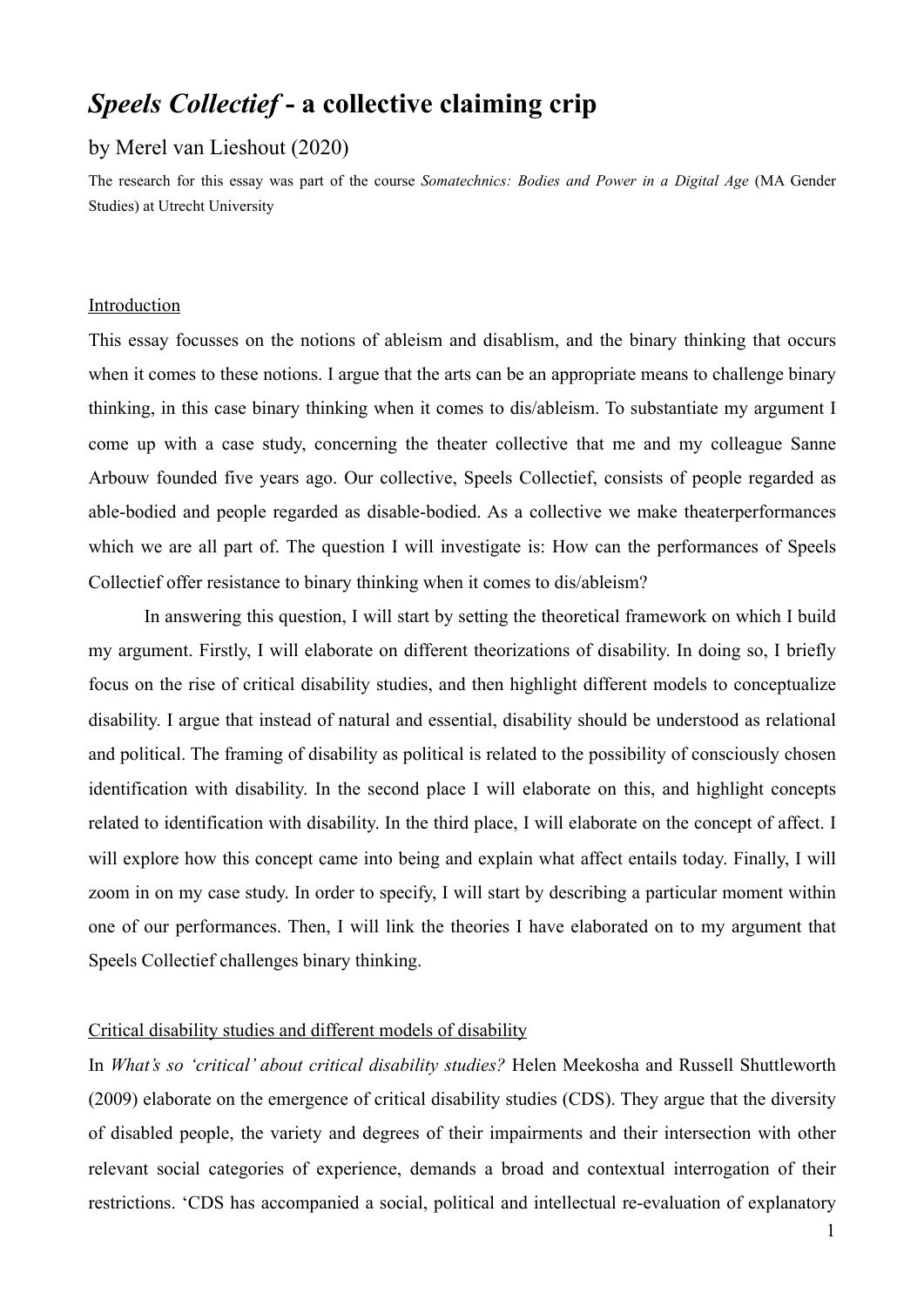# *Speels Collectief* **- a collective claiming crip**

## by Merel van Lieshout (2020)

The research for this essay was part of the course *Somatechnics: Bodies and Power in a Digital Age* (MA Gender Studies) at Utrecht University

#### Introduction

This essay focusses on the notions of ableism and disablism, and the binary thinking that occurs when it comes to these notions. I argue that the arts can be an appropriate means to challenge binary thinking, in this case binary thinking when it comes to dis/ableism. To substantiate my argument I come up with a case study, concerning the theater collective that me and my colleague Sanne Arbouw founded five years ago. Our collective, Speels Collectief, consists of people regarded as able-bodied and people regarded as disable-bodied. As a collective we make theaterperformances which we are all part of. The question I will investigate is: How can the performances of Speels Collectief offer resistance to binary thinking when it comes to dis/ableism?

 In answering this question, I will start by setting the theoretical framework on which I build my argument. Firstly, I will elaborate on different theorizations of disability. In doing so, I briefly focus on the rise of critical disability studies, and then highlight different models to conceptualize disability. I argue that instead of natural and essential, disability should be understood as relational and political. The framing of disability as political is related to the possibility of consciously chosen identification with disability. In the second place I will elaborate on this, and highlight concepts related to identification with disability. In the third place, I will elaborate on the concept of affect. I will explore how this concept came into being and explain what affect entails today. Finally, I will zoom in on my case study. In order to specify, I will start by describing a particular moment within one of our performances. Then, I will link the theories I have elaborated on to my argument that Speels Collectief challenges binary thinking.

# Critical disability studies and different models of disability

In *What's so 'critical' about critical disability studies?* Helen Meekosha and Russell Shuttleworth (2009) elaborate on the emergence of critical disability studies (CDS). They argue that the diversity of disabled people, the variety and degrees of their impairments and their intersection with other relevant social categories of experience, demands a broad and contextual interrogation of their restrictions. 'CDS has accompanied a social, political and intellectual re-evaluation of explanatory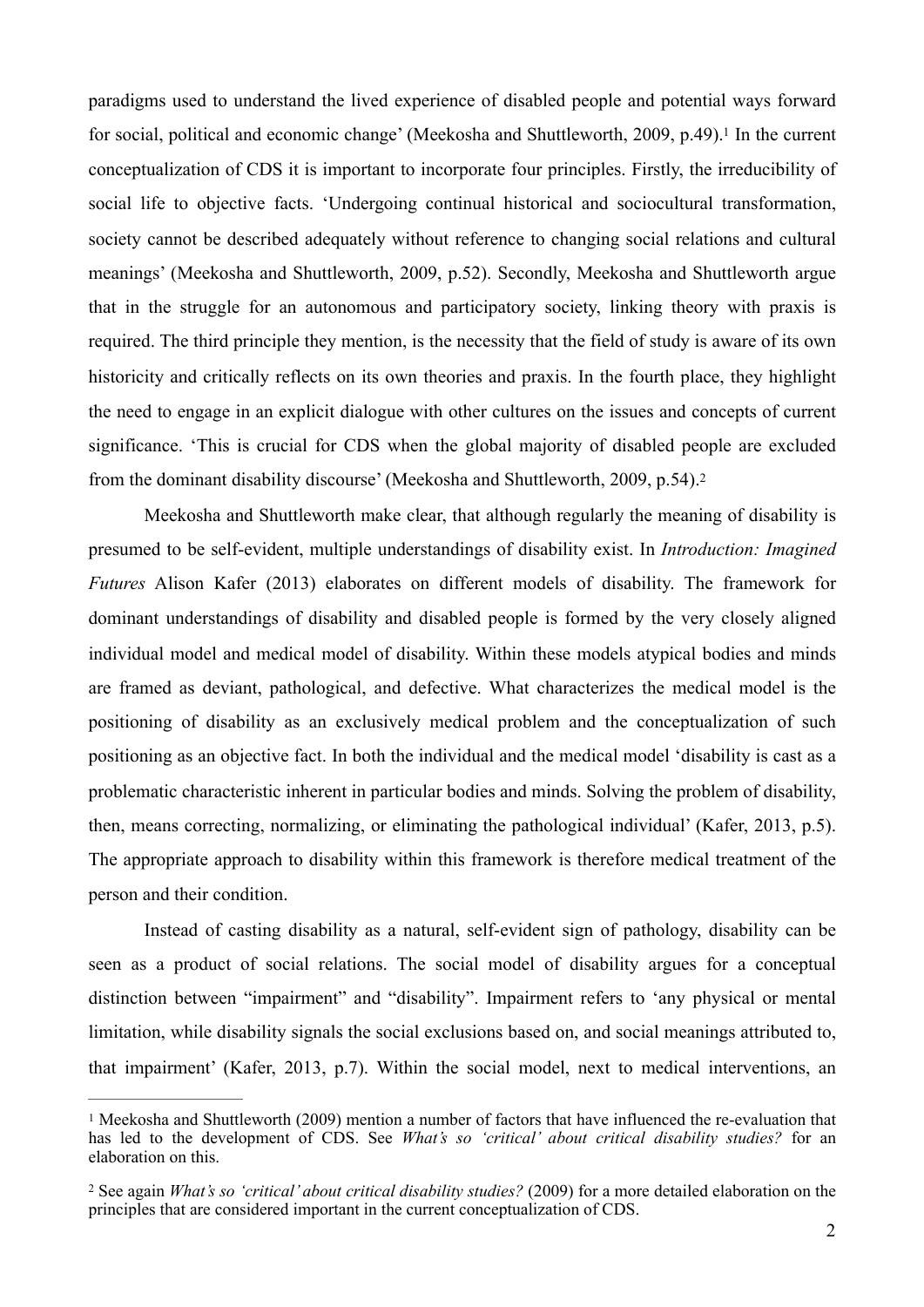<span id="page-1-2"></span>paradigms used to understand the lived experience of disabled people and potential ways forward for social, political and economic change' (Meekosha and Shuttleworth, 2009, p[.](#page-1-0)49).<sup>[1](#page-1-0)</sup> In the current conceptualization of CDS it is important to incorporate four principles. Firstly, the irreducibility of social life to objective facts. 'Undergoing continual historical and sociocultural transformation, society cannot be described adequately without reference to changing social relations and cultural meanings' (Meekosha and Shuttleworth, 2009, p.52). Secondly, Meekosha and Shuttleworth argue that in the struggle for an autonomous and participatory society, linking theory with praxis is required. The third principle they mention, is the necessity that the field of study is aware of its own historicity and critically reflects on its own theories and praxis. In the fourth place, they highlight the need to engage in an explicit dialogue with other cultures on the issues and concepts of current significance. 'This is crucial for CDS when the global majority of disabled people are excluded from the dominant disability discourse' (Meekosha and Shuttleworth, 2009, p.54)[.2](#page-1-1)

<span id="page-1-3"></span> Meekosha and Shuttleworth make clear, that although regularly the meaning of disability is presumed to be self-evident, multiple understandings of disability exist. In *Introduction: Imagined Futures* Alison Kafer (2013) elaborates on different models of disability. The framework for dominant understandings of disability and disabled people is formed by the very closely aligned individual model and medical model of disability. Within these models atypical bodies and minds are framed as deviant, pathological, and defective. What characterizes the medical model is the positioning of disability as an exclusively medical problem and the conceptualization of such positioning as an objective fact. In both the individual and the medical model 'disability is cast as a problematic characteristic inherent in particular bodies and minds. Solving the problem of disability, then, means correcting, normalizing, or eliminating the pathological individual' (Kafer, 2013, p.5). The appropriate approach to disability within this framework is therefore medical treatment of the person and their condition.

 Instead of casting disability as a natural, self-evident sign of pathology, disability can be seen as a product of social relations. The social model of disability argues for a conceptual distinction between "impairment" and "disability". Impairment refers to 'any physical or mental limitation, while disability signals the social exclusions based on, and social meanings attributed to, that impairment' (Kafer, 2013, p.7). Within the social model, next to medical interventions, an

<span id="page-1-0"></span><sup>&</sup>lt;sup>[1](#page-1-2)</sup> Meekosha and Shuttleworth (2009) mention a number of factors that have influenced the re-evaluation that has led to the development of CDS. See *What's so 'critical' about critical disability studies?* for an elaboration on this.

<span id="page-1-1"></span>See again *What's so 'critical' about critical disability studies?* (2009) for a more detailed elaboration on the [2](#page-1-3) principles that are considered important in the current conceptualization of CDS.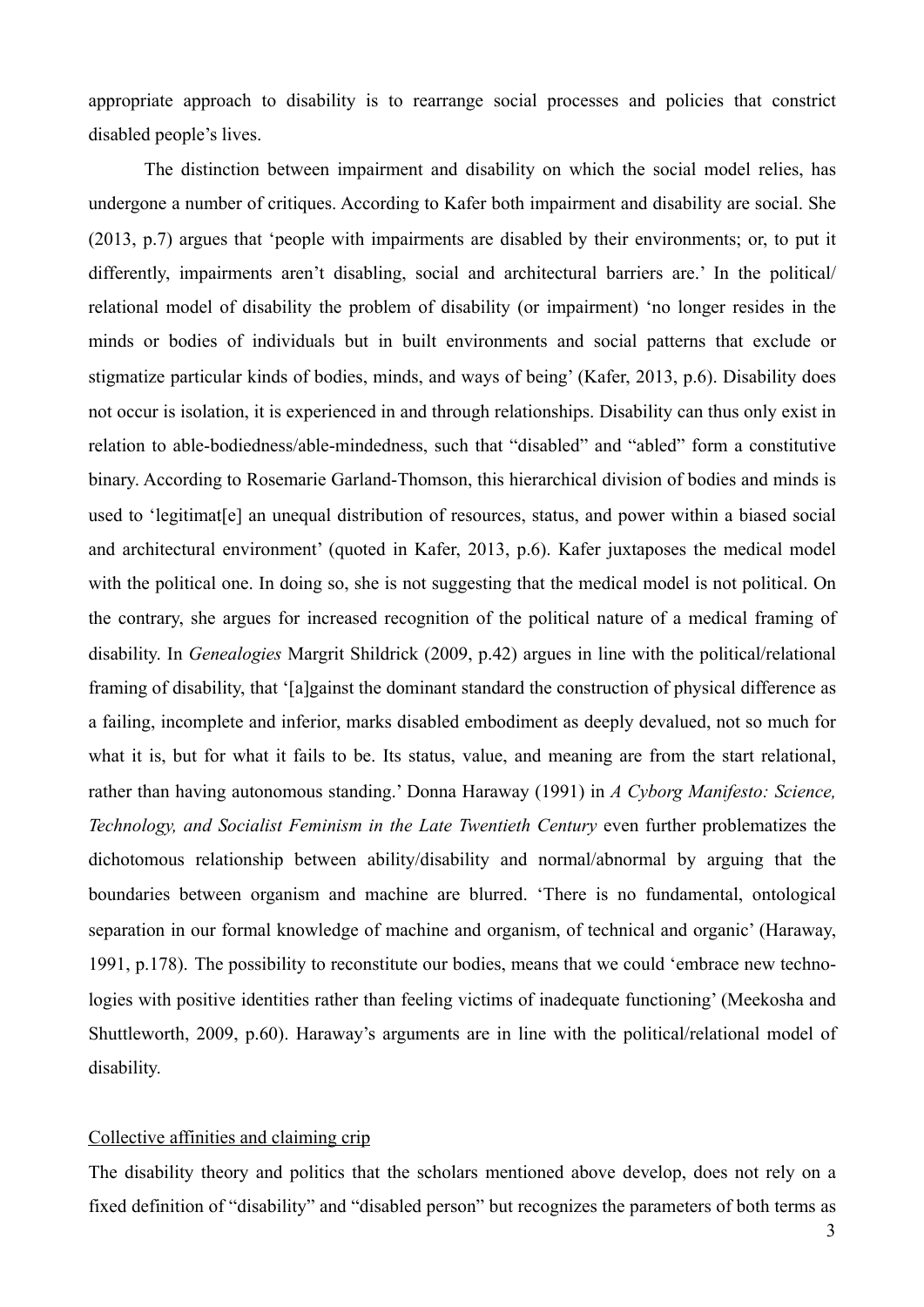appropriate approach to disability is to rearrange social processes and policies that constrict disabled people's lives.

 The distinction between impairment and disability on which the social model relies, has undergone a number of critiques. According to Kafer both impairment and disability are social. She (2013, p.7) argues that 'people with impairments are disabled by their environments; or, to put it differently, impairments aren't disabling, social and architectural barriers are.' In the political/ relational model of disability the problem of disability (or impairment) 'no longer resides in the minds or bodies of individuals but in built environments and social patterns that exclude or stigmatize particular kinds of bodies, minds, and ways of being' (Kafer, 2013, p.6). Disability does not occur is isolation, it is experienced in and through relationships. Disability can thus only exist in relation to able-bodiedness/able-mindedness, such that "disabled" and "abled" form a constitutive binary. According to Rosemarie Garland-Thomson, this hierarchical division of bodies and minds is used to 'legitimat[e] an unequal distribution of resources, status, and power within a biased social and architectural environment' (quoted in Kafer, 2013, p.6). Kafer juxtaposes the medical model with the political one. In doing so, she is not suggesting that the medical model is not political. On the contrary, she argues for increased recognition of the political nature of a medical framing of disability. In *Genealogies* Margrit Shildrick (2009, p.42) argues in line with the political/relational framing of disability, that '[a]gainst the dominant standard the construction of physical difference as a failing, incomplete and inferior, marks disabled embodiment as deeply devalued, not so much for what it is, but for what it fails to be. Its status, value, and meaning are from the start relational, rather than having autonomous standing.' Donna Haraway (1991) in *A Cyborg Manifesto: Science, Technology, and Socialist Feminism in the Late Twentieth Century* even further problematizes the dichotomous relationship between ability/disability and normal/abnormal by arguing that the boundaries between organism and machine are blurred. 'There is no fundamental, ontological separation in our formal knowledge of machine and organism, of technical and organic' (Haraway, 1991, p.178). The possibility to reconstitute our bodies, means that we could 'embrace new technologies with positive identities rather than feeling victims of inadequate functioning' (Meekosha and Shuttleworth, 2009, p.60). Haraway's arguments are in line with the political/relational model of disability.

#### Collective affinities and claiming crip

The disability theory and politics that the scholars mentioned above develop, does not rely on a fixed definition of "disability" and "disabled person" but recognizes the parameters of both terms as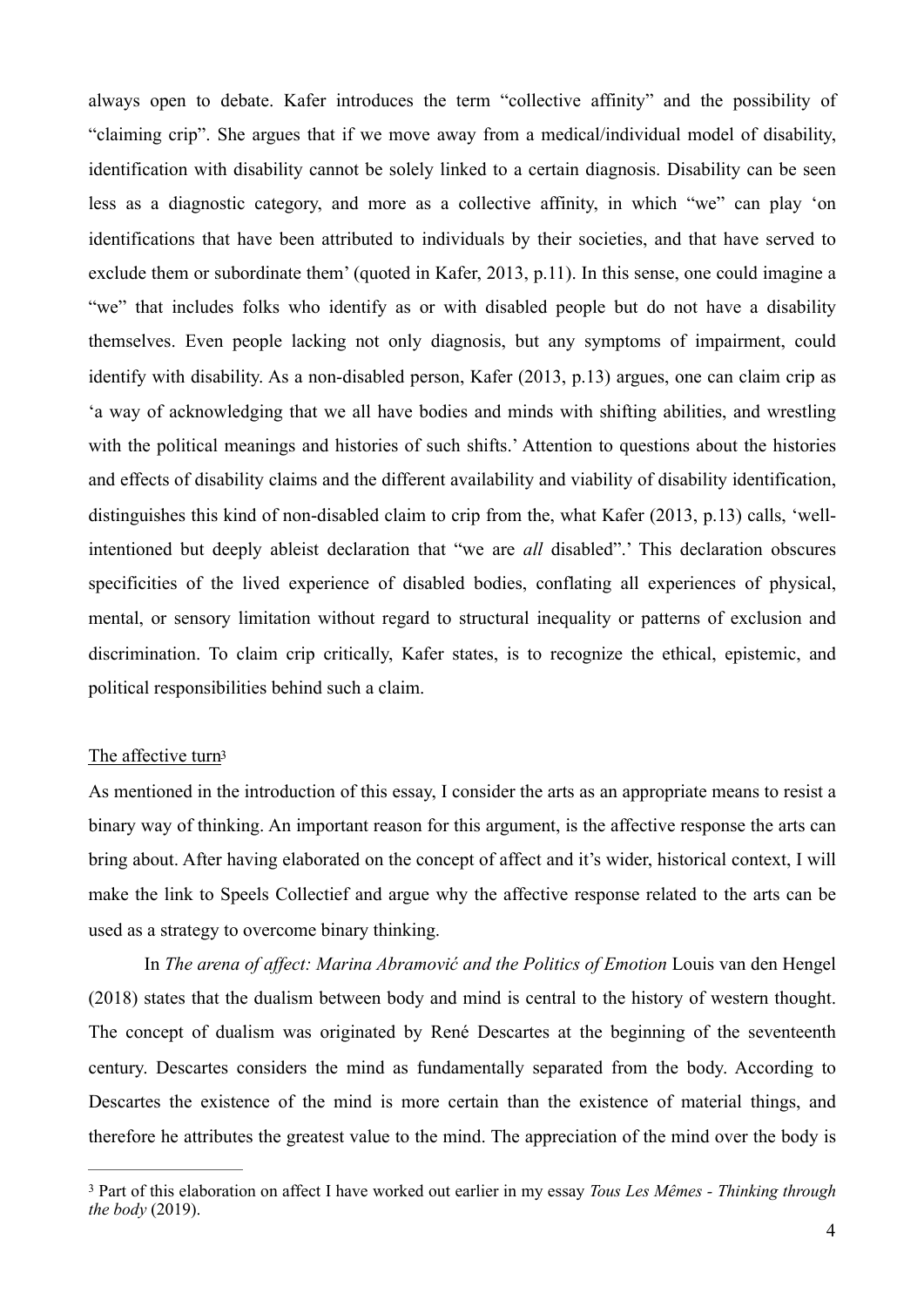always open to debate. Kafer introduces the term "collective affinity" and the possibility of "claiming crip". She argues that if we move away from a medical/individual model of disability, identification with disability cannot be solely linked to a certain diagnosis. Disability can be seen less as a diagnostic category, and more as a collective affinity, in which "we" can play 'on identifications that have been attributed to individuals by their societies, and that have served to exclude them or subordinate them' (quoted in Kafer, 2013, p.11). In this sense, one could imagine a "we" that includes folks who identify as or with disabled people but do not have a disability themselves. Even people lacking not only diagnosis, but any symptoms of impairment, could identify with disability. As a non-disabled person, Kafer (2013, p.13) argues, one can claim crip as 'a way of acknowledging that we all have bodies and minds with shifting abilities, and wrestling with the political meanings and histories of such shifts.' Attention to questions about the histories and effects of disability claims and the different availability and viability of disability identification, distinguishes this kind of non-disabled claim to crip from the, what Kafer (2013, p.13) calls, 'wellintentioned but deeply ableist declaration that "we are *all* disabled".' This declaration obscures specificities of the lived experience of disabled bodies, conflating all experiences of physical, mental, or sensory limitation without regard to structural inequality or patterns of exclusion and discrimination. To claim crip critically, Kafer states, is to recognize the ethical, epistemic, and political responsibilities behind such a claim.

#### <span id="page-3-1"></span>The affective tur[n3](#page-3-0)

As mentioned in the introduction of this essay, I consider the arts as an appropriate means to resist a binary way of thinking. An important reason for this argument, is the affective response the arts can bring about. After having elaborated on the concept of affect and it's wider, historical context, I will make the link to Speels Collectief and argue why the affective response related to the arts can be used as a strategy to overcome binary thinking.

 In *The arena of affect: Marina Abramović and the Politics of Emotion* Louis van den Hengel (2018) states that the dualism between body and mind is central to the history of western thought. The concept of dualism was originated by René Descartes at the beginning of the seventeenth century. Descartes considers the mind as fundamentally separated from the body. According to Descartes the existence of the mind is more certain than the existence of material things, and therefore he attributes the greatest value to the mind. The appreciation of the mind over the body is

<span id="page-3-0"></span>Part of this elaboration on affect I have worked out earlier in my essay *Tous Les Mêmes - Thinking through* [3](#page-3-1) *the body* (2019).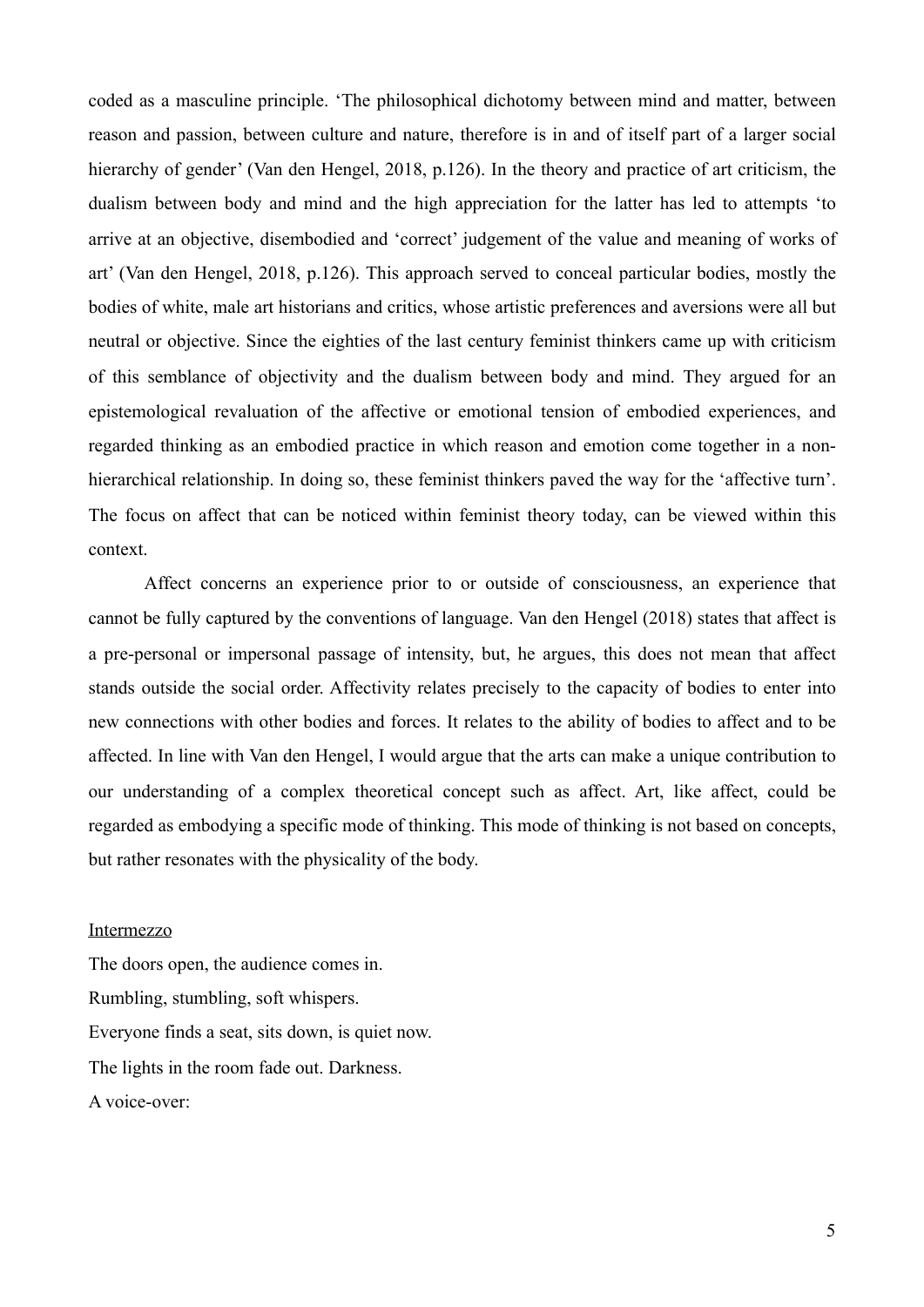coded as a masculine principle. 'The philosophical dichotomy between mind and matter, between reason and passion, between culture and nature, therefore is in and of itself part of a larger social hierarchy of gender' (Van den Hengel, 2018, p.126). In the theory and practice of art criticism, the dualism between body and mind and the high appreciation for the latter has led to attempts 'to arrive at an objective, disembodied and 'correct' judgement of the value and meaning of works of art' (Van den Hengel, 2018, p.126). This approach served to conceal particular bodies, mostly the bodies of white, male art historians and critics, whose artistic preferences and aversions were all but neutral or objective. Since the eighties of the last century feminist thinkers came up with criticism of this semblance of objectivity and the dualism between body and mind. They argued for an epistemological revaluation of the affective or emotional tension of embodied experiences, and regarded thinking as an embodied practice in which reason and emotion come together in a nonhierarchical relationship. In doing so, these feminist thinkers paved the way for the 'affective turn'. The focus on affect that can be noticed within feminist theory today, can be viewed within this context.

 Affect concerns an experience prior to or outside of consciousness, an experience that cannot be fully captured by the conventions of language. Van den Hengel (2018) states that affect is a pre-personal or impersonal passage of intensity, but, he argues, this does not mean that affect stands outside the social order. Affectivity relates precisely to the capacity of bodies to enter into new connections with other bodies and forces. It relates to the ability of bodies to affect and to be affected. In line with Van den Hengel, I would argue that the arts can make a unique contribution to our understanding of a complex theoretical concept such as affect. Art, like affect, could be regarded as embodying a specific mode of thinking. This mode of thinking is not based on concepts, but rather resonates with the physicality of the body.

#### Intermezzo

The doors open, the audience comes in. Rumbling, stumbling, soft whispers. Everyone finds a seat, sits down, is quiet now. The lights in the room fade out. Darkness. A voice-over: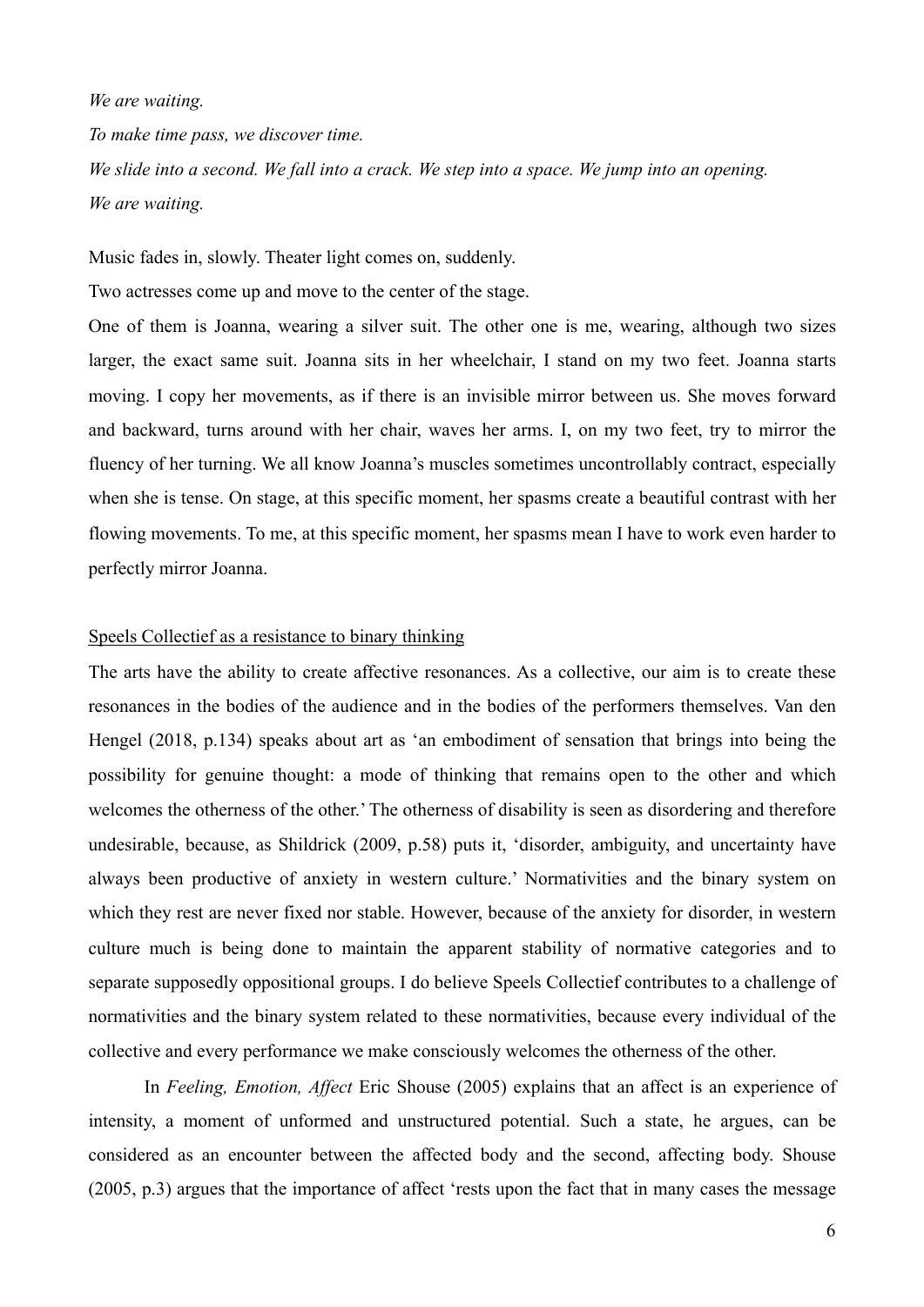*We are waiting.*

*To make time pass, we discover time.*

*We slide into a second. We fall into a crack. We step into a space. We jump into an opening. We are waiting.* 

Music fades in, slowly. Theater light comes on, suddenly.

Two actresses come up and move to the center of the stage.

One of them is Joanna, wearing a silver suit. The other one is me, wearing, although two sizes larger, the exact same suit. Joanna sits in her wheelchair, I stand on my two feet. Joanna starts moving. I copy her movements, as if there is an invisible mirror between us. She moves forward and backward, turns around with her chair, waves her arms. I, on my two feet, try to mirror the fluency of her turning. We all know Joanna's muscles sometimes uncontrollably contract, especially when she is tense. On stage, at this specific moment, her spasms create a beautiful contrast with her flowing movements. To me, at this specific moment, her spasms mean I have to work even harder to perfectly mirror Joanna.

### Speels Collectief as a resistance to binary thinking

The arts have the ability to create affective resonances. As a collective, our aim is to create these resonances in the bodies of the audience and in the bodies of the performers themselves. Van den Hengel (2018, p.134) speaks about art as 'an embodiment of sensation that brings into being the possibility for genuine thought: a mode of thinking that remains open to the other and which welcomes the otherness of the other.' The otherness of disability is seen as disordering and therefore undesirable, because, as Shildrick (2009, p.58) puts it, 'disorder, ambiguity, and uncertainty have always been productive of anxiety in western culture.' Normativities and the binary system on which they rest are never fixed nor stable. However, because of the anxiety for disorder, in western culture much is being done to maintain the apparent stability of normative categories and to separate supposedly oppositional groups. I do believe Speels Collectief contributes to a challenge of normativities and the binary system related to these normativities, because every individual of the collective and every performance we make consciously welcomes the otherness of the other.

 In *Feeling, Emotion, Affect* Eric Shouse (2005) explains that an affect is an experience of intensity, a moment of unformed and unstructured potential. Such a state, he argues, can be considered as an encounter between the affected body and the second, affecting body. Shouse (2005, p.3) argues that the importance of affect 'rests upon the fact that in many cases the message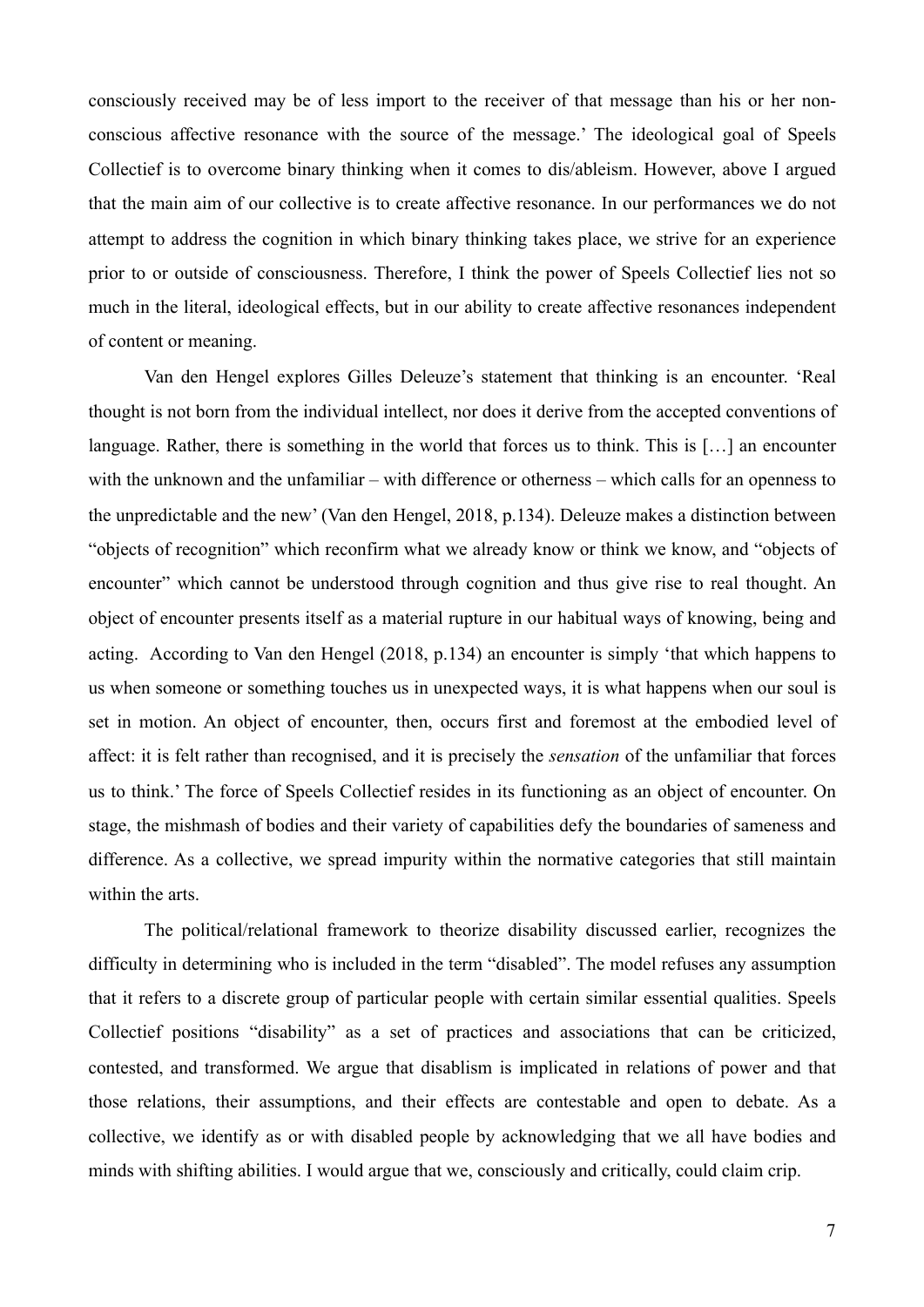consciously received may be of less import to the receiver of that message than his or her nonconscious affective resonance with the source of the message.' The ideological goal of Speels Collectief is to overcome binary thinking when it comes to dis/ableism. However, above I argued that the main aim of our collective is to create affective resonance. In our performances we do not attempt to address the cognition in which binary thinking takes place, we strive for an experience prior to or outside of consciousness. Therefore, I think the power of Speels Collectief lies not so much in the literal, ideological effects, but in our ability to create affective resonances independent of content or meaning.

 Van den Hengel explores Gilles Deleuze's statement that thinking is an encounter. 'Real thought is not born from the individual intellect, nor does it derive from the accepted conventions of language. Rather, there is something in the world that forces us to think. This is […] an encounter with the unknown and the unfamiliar – with difference or otherness – which calls for an openness to the unpredictable and the new' (Van den Hengel, 2018, p.134). Deleuze makes a distinction between "objects of recognition" which reconfirm what we already know or think we know, and "objects of encounter" which cannot be understood through cognition and thus give rise to real thought. An object of encounter presents itself as a material rupture in our habitual ways of knowing, being and acting. According to Van den Hengel (2018, p.134) an encounter is simply 'that which happens to us when someone or something touches us in unexpected ways, it is what happens when our soul is set in motion. An object of encounter, then, occurs first and foremost at the embodied level of affect: it is felt rather than recognised, and it is precisely the *sensation* of the unfamiliar that forces us to think.' The force of Speels Collectief resides in its functioning as an object of encounter. On stage, the mishmash of bodies and their variety of capabilities defy the boundaries of sameness and difference. As a collective, we spread impurity within the normative categories that still maintain within the arts.

 The political/relational framework to theorize disability discussed earlier, recognizes the difficulty in determining who is included in the term "disabled". The model refuses any assumption that it refers to a discrete group of particular people with certain similar essential qualities. Speels Collectief positions "disability" as a set of practices and associations that can be criticized, contested, and transformed. We argue that disablism is implicated in relations of power and that those relations, their assumptions, and their effects are contestable and open to debate. As a collective, we identify as or with disabled people by acknowledging that we all have bodies and minds with shifting abilities. I would argue that we, consciously and critically, could claim crip.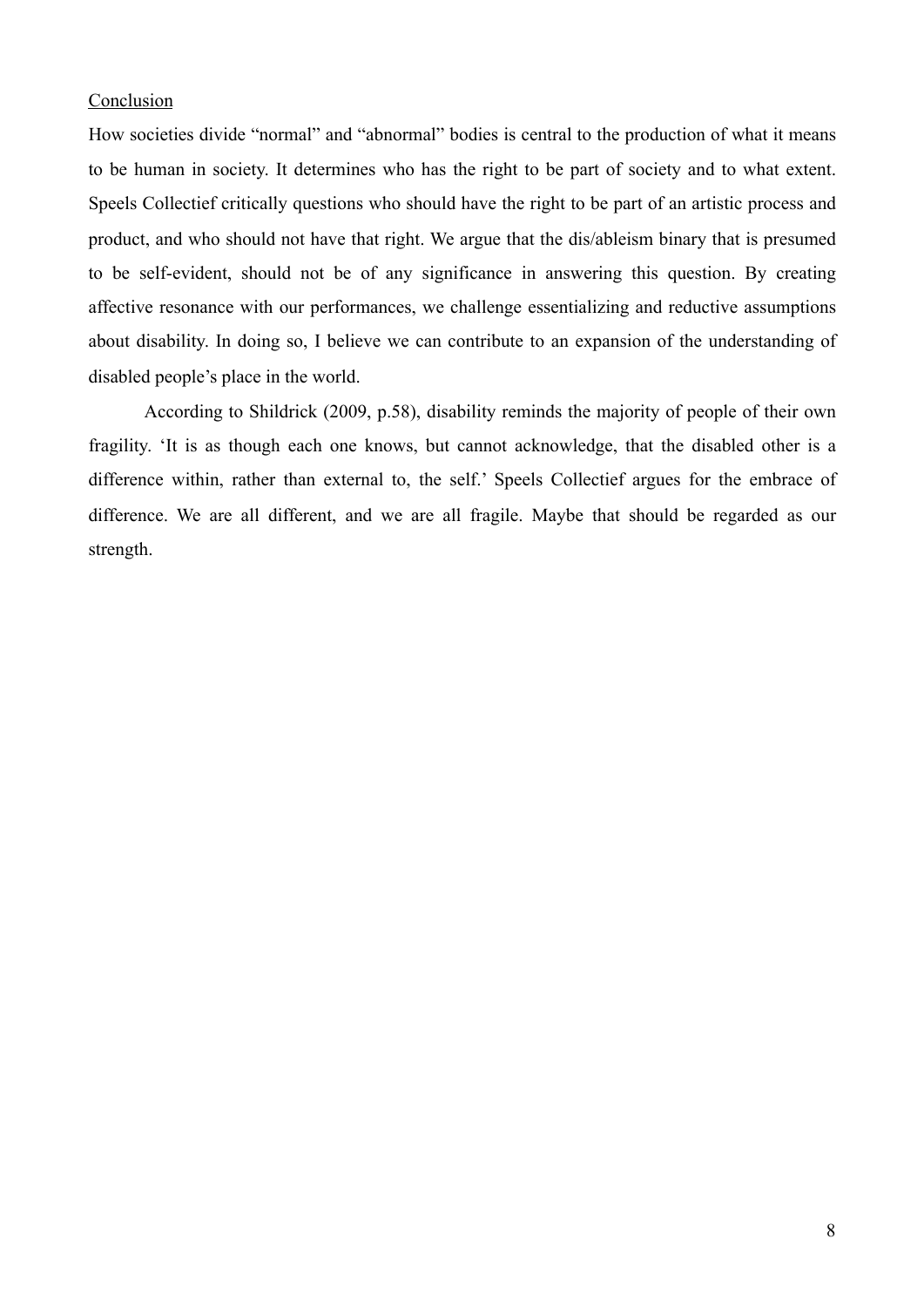#### **Conclusion**

How societies divide "normal" and "abnormal" bodies is central to the production of what it means to be human in society. It determines who has the right to be part of society and to what extent. Speels Collectief critically questions who should have the right to be part of an artistic process and product, and who should not have that right. We argue that the dis/ableism binary that is presumed to be self-evident, should not be of any significance in answering this question. By creating affective resonance with our performances, we challenge essentializing and reductive assumptions about disability. In doing so, I believe we can contribute to an expansion of the understanding of disabled people's place in the world.

 According to Shildrick (2009, p.58), disability reminds the majority of people of their own fragility. 'It is as though each one knows, but cannot acknowledge, that the disabled other is a difference within, rather than external to, the self.' Speels Collectief argues for the embrace of difference. We are all different, and we are all fragile. Maybe that should be regarded as our strength.